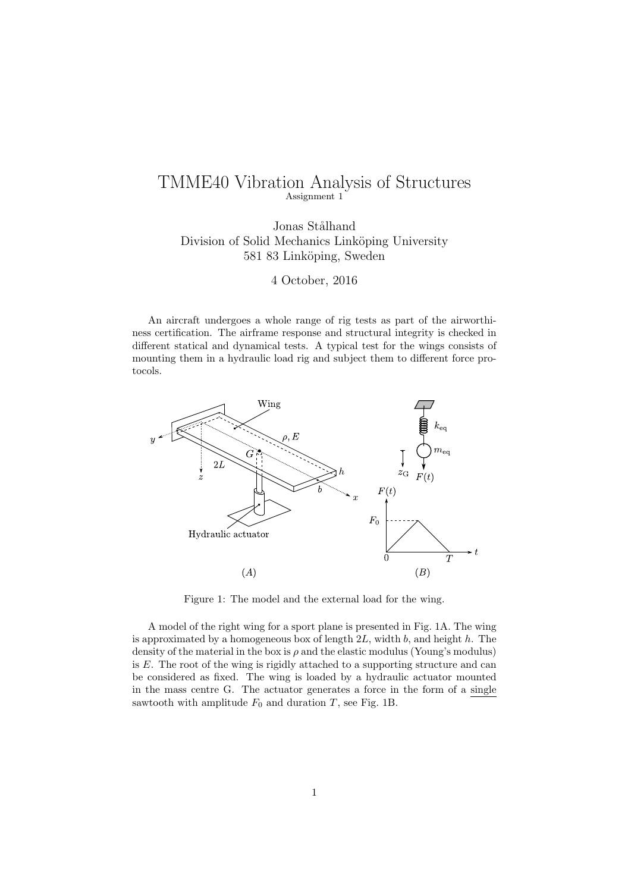# TMME40 Vibration Analysis of Structures Assignment 1

Jonas Stålhand Division of Solid Mechanics Linköping University 581 83 Linköping, Sweden

4 October, 2016

An aircraft undergoes a whole range of rig tests as part of the airworthiness certification. The airframe response and structural integrity is checked in different statical and dynamical tests. A typical test for the wings consists of mounting them in a hydraulic load rig and subject them to different force protocols.



Figure 1: The model and the external load for the wing.

A model of the right wing for a sport plane is presented in Fig. 1A. The wing is approximated by a homogeneous box of length 2*L*, width *b*, and height *h*. The density of the material in the box is  $\rho$  and the elastic modulus (Young's modulus) is *E*. The root of the wing is rigidly attached to a supporting structure and can be considered as fixed. The wing is loaded by a hydraulic actuator mounted in the mass centre G. The actuator generates a force in the form of a single sawtooth with amplitude  $F_0$  and duration *T*, see Fig. 1B.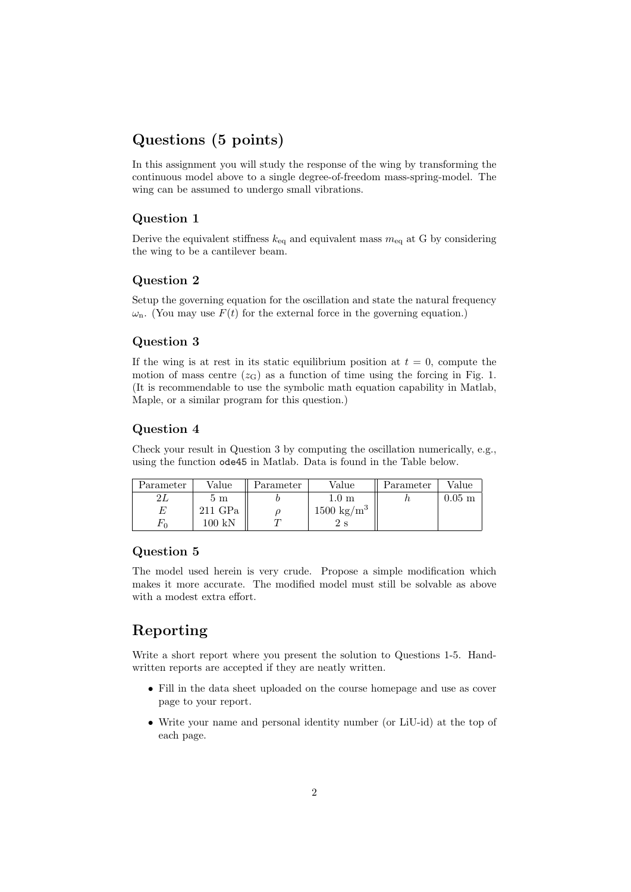# **Questions (5 points)**

In this assignment you will study the response of the wing by transforming the continuous model above to a single degree-of-freedom mass-spring-model. The wing can be assumed to undergo small vibrations.

#### **Question 1**

Derive the equivalent stiffness  $k_{eq}$  and equivalent mass  $m_{eq}$  at G by considering the wing to be a cantilever beam.

### **Question 2**

Setup the governing equation for the oscillation and state the natural frequency  $\omega_{\rm n}$ . (You may use  $F(t)$  for the external force in the governing equation.)

### **Question 3**

If the wing is at rest in its static equilibrium position at  $t = 0$ , compute the motion of mass centre  $(z_G)$  as a function of time using the forcing in Fig. 1. (It is recommendable to use the symbolic math equation capability in Matlab, Maple, or a similar program for this question.)

### **Question 4**

Check your result in Question 3 by computing the oscillation numerically, e.g., using the function ode45 in Matlab. Data is found in the Table below.

| Parameter | Value            | Parameter | Value                 | Parameter | Value               |
|-----------|------------------|-----------|-----------------------|-----------|---------------------|
| 21        | $5 \text{ m}$    |           | $1.0\ \mathrm{m}$     |           | $0.05\; \mathrm{m}$ |
| E         | $211$ GPa        |           | $1500 \text{ kg/m}^3$ |           |                     |
| $F_{0}$   | $100\,~{\rm kN}$ |           | 2 s                   |           |                     |

### **Question 5**

The model used herein is very crude. Propose a simple modification which makes it more accurate. The modified model must still be solvable as above with a modest extra effort.

# **Reporting**

Write a short report where you present the solution to Questions 1-5. Handwritten reports are accepted if they are neatly written.

- *•* Fill in the data sheet uploaded on the course homepage and use as cover page to your report.
- *•* Write your name and personal identity number (or LiU-id) at the top of each page.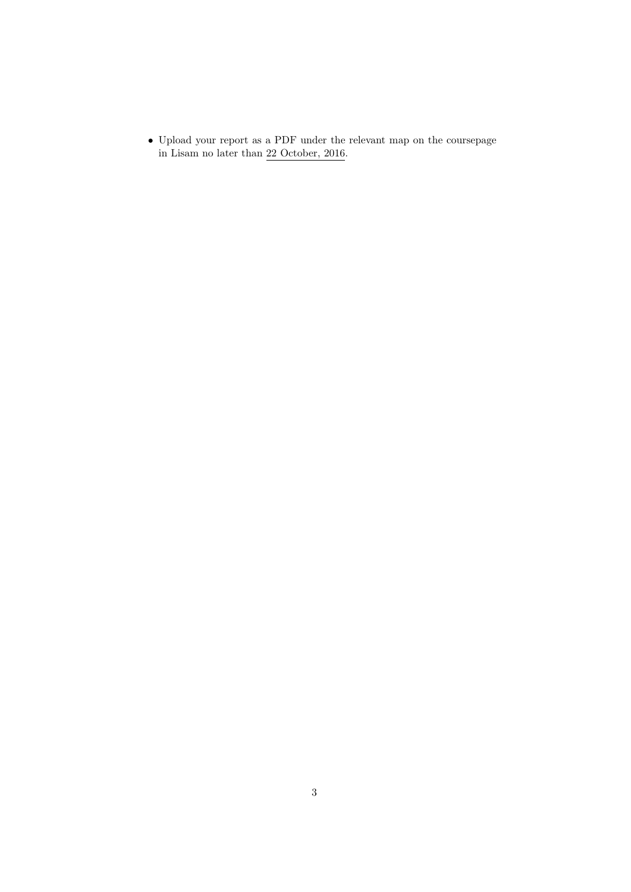*•* Upload your report as a PDF under the relevant map on the coursepage in Lisam no later than 22 October, 2016.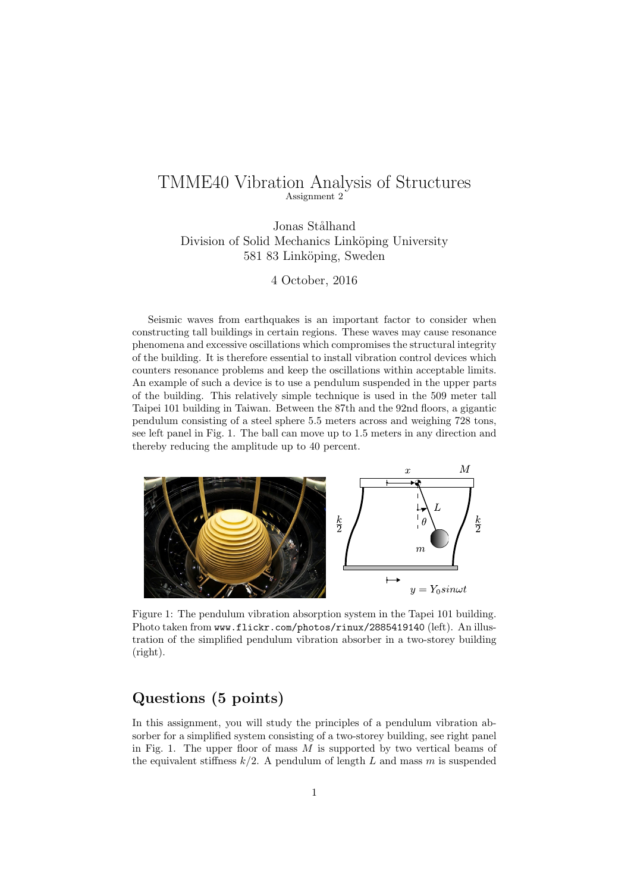## TMME40 Vibration Analysis of Structures Assignment 2

Jonas Stålhand Division of Solid Mechanics Linköping University 581 83 Linköping, Sweden

4 October, 2016

Seismic waves from earthquakes is an important factor to consider when constructing tall buildings in certain regions. These waves may cause resonance phenomena and excessive oscillations which compromises the structural integrity of the building. It is therefore essential to install vibration control devices which counters resonance problems and keep the oscillations within acceptable limits. An example of such a device is to use a pendulum suspended in the upper parts of the building. This relatively simple technique is used in the 509 meter tall Taipei 101 building in Taiwan. Between the 87th and the 92nd floors, a gigantic pendulum consisting of a steel sphere 5.5 meters across and weighing 728 tons, see left panel in Fig. 1. The ball can move up to 1.5 meters in any direction and thereby reducing the amplitude up to 40 percent.



Figure 1: The pendulum vibration absorption system in the Tapei 101 building. Photo taken from www.flickr.com/photos/rinux/2885419140 (left). An illustration of the simplified pendulum vibration absorber in a two-storey building (right).

# **Questions (5 points)**

In this assignment, you will study the principles of a pendulum vibration absorber for a simplified system consisting of a two-storey building, see right panel in Fig. 1. The upper floor of mass *M* is supported by two vertical beams of the equivalent stiffness  $k/2$ . A pendulum of length L and mass m is suspended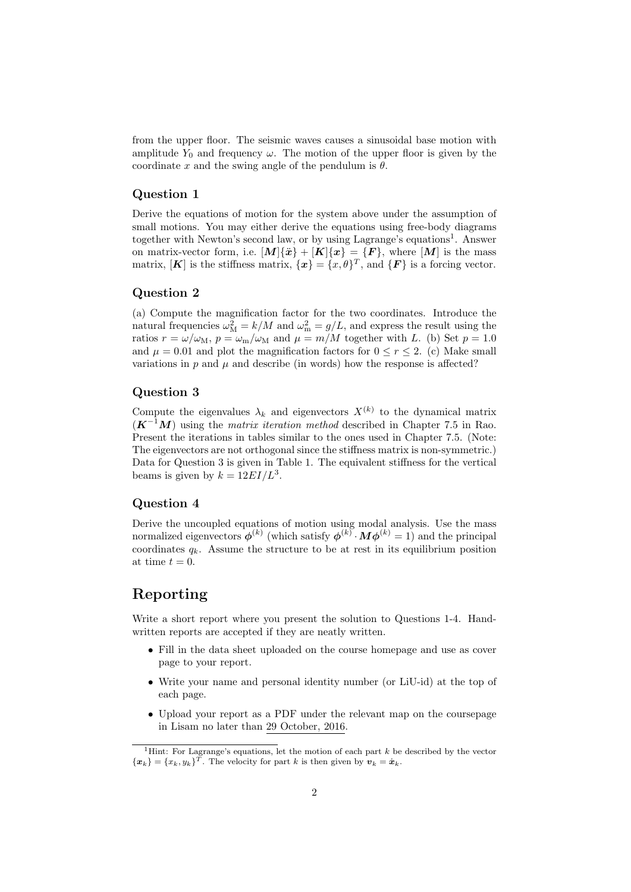from the upper floor. The seismic waves causes a sinusoidal base motion with amplitude  $Y_0$  and frequency  $\omega$ . The motion of the upper floor is given by the coordinate x and the swing angle of the pendulum is  $\theta$ .

#### **Question 1**

Derive the equations of motion for the system above under the assumption of small motions. You may either derive the equations using free-body diagrams together with Newton's second law, or by using Lagrange's equations<sup>1</sup>. Answer on matrix-vector form, i.e.  $[M]\{\ddot{x}\} + [K]\{x\} = \{F\}$ , where  $[M]$  is the mass matrix,  $[K]$  is the stiffness matrix,  $\{\mathbf{x}\} = \{x, \theta\}^T$ , and  $\{F\}$  is a forcing vector.

#### **Question 2**

(a) Compute the magnification factor for the two coordinates. Introduce the natural frequencies  $\omega_{\rm M}^2 = k/M$  and  $\omega_{\rm m}^2 = g/L$ , and express the result using the ratios  $r = \omega/\omega_M$ ,  $p = \omega_m/\omega_M$  and  $\mu = m/M$  together with *L*. (b) Set  $p = 1.0$ and  $\mu = 0.01$  and plot the magnification factors for  $0 \le r \le 2$ . (c) Make small variations in  $p$  and  $\mu$  and describe (in words) how the response is affected?

#### **Question 3**

Compute the eigenvalues  $\lambda_k$  and eigenvectors  $X^{(k)}$  to the dynamical matrix  $(K^{-1}M)$  using the *matrix iteration method* described in Chapter 7.5 in Rao. Present the iterations in tables similar to the ones used in Chapter 7.5. (Note: The eigenvectors are not orthogonal since the stiffness matrix is non-symmetric.) Data for Question 3 is given in Table 1. The equivalent stiffness for the vertical beams is given by  $k = 12EI/L^3$ .

#### **Question 4**

Derive the uncoupled equations of motion using modal analysis. Use the mass normalized eigenvectors  $\boldsymbol{\phi}^{(k)}$  (which satisfy  $\boldsymbol{\phi}^{(k)} \cdot \boldsymbol{M} \boldsymbol{\phi}^{(k)} = 1$ ) and the principal coordinates  $q_k$ . Assume the structure to be at rest in its equilibrium position at time  $t = 0$ .

## **Reporting**

Write a short report where you present the solution to Questions 1-4. Handwritten reports are accepted if they are neatly written.

- *•* Fill in the data sheet uploaded on the course homepage and use as cover page to your report.
- Write your name and personal identity number (or LiU-id) at the top of each page.
- Upload your report as a PDF under the relevant map on the coursepage in Lisam no later than 29 October, 2016.

<sup>1</sup>Hint: For Lagrange's equations, let the motion of each part *k* be described by the vector  $\{x_k\} = \{x_k, y_k\}^T$ . The velocity for part *k* is then given by  $v_k = \dot{x}_k$ .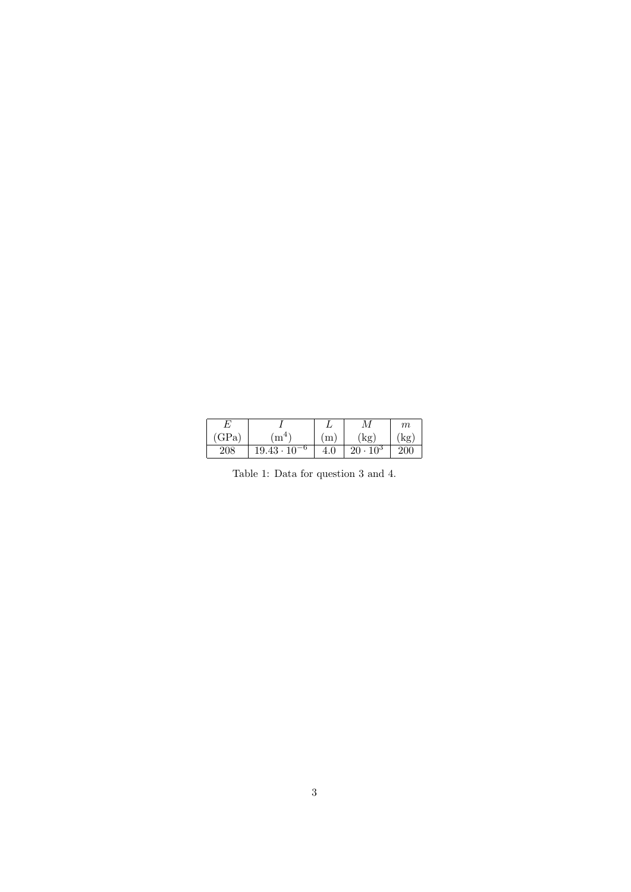|     |                               | L       |                      | $m\,$ |
|-----|-------------------------------|---------|----------------------|-------|
| GPa | $\cdot$ m <sup>4</sup>        | m       | kg                   | kε    |
| 208 | $19.43\cdot 10^{\circ}$<br>-0 | $4.0\,$ | $10^3$<br>$20 \cdot$ | 200   |

Table 1: Data for question 3 and 4.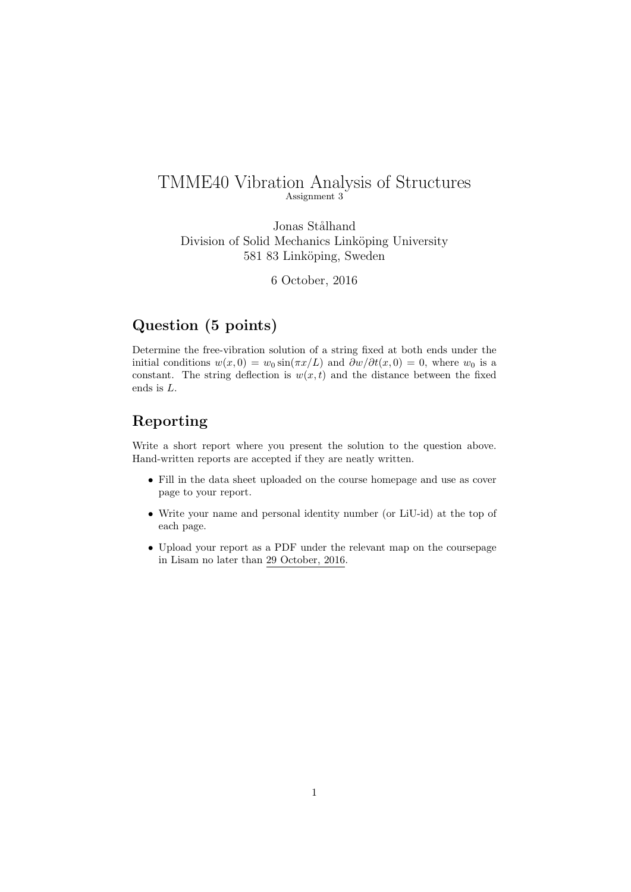## TMME40 Vibration Analysis of Structures Assignment 3

Jonas Stålhand Division of Solid Mechanics Linköping University 581 83 Linköping, Sweden

6 October, 2016

# **Question (5 points)**

Determine the free-vibration solution of a string fixed at both ends under the initial conditions  $w(x, 0) = w_0 \sin(\pi x/L)$  and  $\frac{\partial w}{\partial t}(x, 0) = 0$ , where  $w_0$  is a constant. The string deflection is  $w(x, t)$  and the distance between the fixed ends is *L*.

## **Reporting**

Write a short report where you present the solution to the question above. Hand-written reports are accepted if they are neatly written.

- *•* Fill in the data sheet uploaded on the course homepage and use as cover page to your report.
- *•* Write your name and personal identity number (or LiU-id) at the top of each page.
- *•* Upload your report as a PDF under the relevant map on the coursepage in Lisam no later than 29 October, 2016.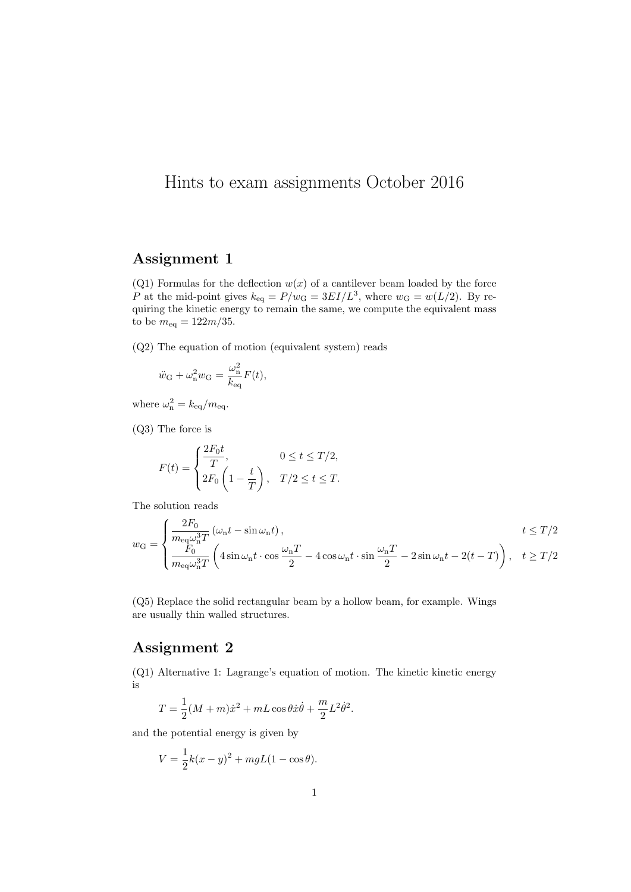# Hints to exam assignments October 2016

# Assignment 1

(Q1) Formulas for the deflection  $w(x)$  of a cantilever beam loaded by the force P at the mid-point gives  $k_{\text{eq}} = P/w_G = 3EI/L^3$ , where  $w_G = w(L/2)$ . By requiring the kinetic energy to remain the same, we compute the equivalent mass to be  $m_{\text{eq}} = 122m/35$ .

(Q2) The equation of motion (equivalent system) reads

$$
\ddot{w}_{\rm G} + \omega_{\rm n}^2 w_{\rm G} = \frac{\omega_{\rm n}^2}{k_{\rm eq}} F(t),
$$

where  $\omega_{\rm n}^2 = k_{\rm eq}/m_{\rm eq}$ .

(Q3) The force is

$$
F(t) = \begin{cases} \frac{2F_0t}{T}, & 0 \le t \le T/2, \\ 2F_0\left(1 - \frac{t}{T}\right), & T/2 \le t \le T. \end{cases}
$$

The solution reads

$$
w_{\rm G} = \begin{cases} \frac{2F_0}{m_{\rm eq}\omega_{\rm n}^3 T} \left(\omega_{\rm n}t - \sin\omega_{\rm n}t\right), & t \le T/2\\ \frac{F_0}{m_{\rm eq}\omega_{\rm n}^3 T} \left(4\sin\omega_{\rm n}t \cdot \cos\frac{\omega_{\rm n}T}{2} - 4\cos\omega_{\rm n}t \cdot \sin\frac{\omega_{\rm n}T}{2} - 2\sin\omega_{\rm n}t - 2(t - T)\right), & t \ge T/2 \end{cases}
$$

(Q5) Replace the solid rectangular beam by a hollow beam, for example. Wings are usually thin walled structures.

### Assignment 2

(Q1) Alternative 1: Lagrange's equation of motion. The kinetic kinetic energy is

$$
T = \frac{1}{2}(M+m)\dot{x}^2 + mL\cos\theta\dot{x}\dot{\theta} + \frac{m}{2}L^2\dot{\theta}^2.
$$

and the potential energy is given by

$$
V = \frac{1}{2}k(x - y)^{2} + mgL(1 - \cos \theta).
$$